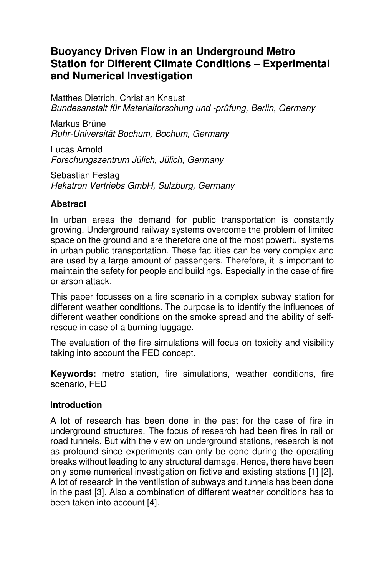# **Buoyancy Driven Flow in an Underground Metro Station for Different Climate Conditions – Experimental and Numerical Investigation**

Matthes Dietrich, Christian Knaust Bundesanstalt für Materialforschung und -prüfung, Berlin, Germany

Markus Brüne Ruhr-Universität Bochum, Bochum, Germany

Lucas Arnold Forschungszentrum Jülich, Jülich, Germany

Sebastian Festag Hekatron Vertriebs GmbH, Sulzburg, Germany

## **Abstract**

In urban areas the demand for public transportation is constantly growing. Underground railway systems overcome the problem of limited space on the ground and are therefore one of the most powerful systems in urban public transportation. These facilities can be very complex and are used by a large amount of passengers. Therefore, it is important to maintain the safety for people and buildings. Especially in the case of fire or arson attack.

This paper focusses on a fire scenario in a complex subway station for different weather conditions. The purpose is to identify the influences of different weather conditions on the smoke spread and the ability of selfrescue in case of a burning luggage.

The evaluation of the fire simulations will focus on toxicity and visibility taking into account the FED concept.

**Keywords:** metro station, fire simulations, weather conditions, fire scenario, FED

## **Introduction**

A lot of research has been done in the past for the case of fire in underground structures. The focus of research had been fires in rail or road tunnels. But with the view on underground stations, research is not as profound since experiments can only be done during the operating breaks without leading to any structural damage. Hence, there have been only some numerical investigation on fictive and existing stations [1] [2]. A lot of research in the ventilation of subways and tunnels has been done in the past [3]. Also a combination of different weather conditions has to been taken into account [4].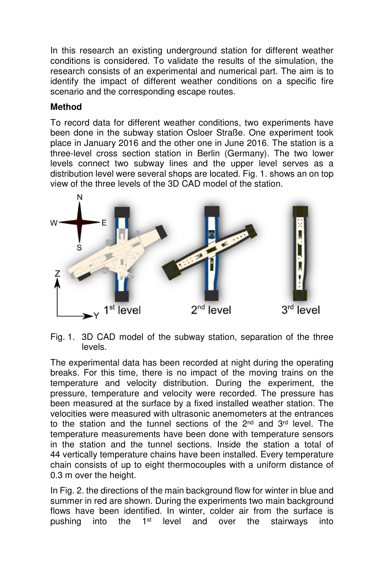In this research an existing underground station for different weather conditions is considered. To validate the results of the simulation, the research consists of an experimental and numerical part. The aim is to identify the impact of different weather conditions on a specific fire scenario and the corresponding escape routes.

# **Method**

To record data for different weather conditions, two experiments have been done in the subway station Osloer Straße. One experiment took place in January 2016 and the other one in June 2016. The station is a three-level cross section station in Berlin (Germany). The two lower levels connect two subway lines and the upper level serves as a distribution level were several shops are located. Fig. 1. shows an on top view of the three levels of the 3D CAD model of the station.



Fig. 1. 3D CAD model of the subway station, separation of the three levels.

The experimental data has been recorded at night during the operating breaks. For this time, there is no impact of the moving trains on the temperature and velocity distribution. During the experiment, the pressure, temperature and velocity were recorded. The pressure has been measured at the surface by a fixed installed weather station. The velocities were measured with ultrasonic anemometers at the entrances to the station and the tunnel sections of the 2<sup>nd</sup> and 3<sup>rd</sup> level. The temperature measurements have been done with temperature sensors in the station and the tunnel sections. Inside the station a total of 44 vertically temperature chains have been installed. Every temperature chain consists of up to eight thermocouples with a uniform distance of 0.3 m over the height.

In Fig. 2. the directions of the main background flow for winter in blue and summer in red are shown. During the experiments two main background flows have been identified. In winter, colder air from the surface is pushing into the 1<sup>st</sup> level and over the stairways into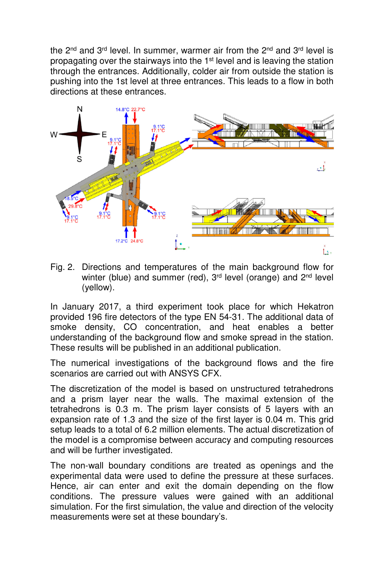the 2<sup>nd</sup> and 3<sup>rd</sup> level. In summer, warmer air from the 2<sup>nd</sup> and 3<sup>rd</sup> level is propagating over the stairways into the 1<sup>st</sup> level and is leaving the station through the entrances. Additionally, colder air from outside the station is pushing into the 1st level at three entrances. This leads to a flow in both directions at these entrances.



Fig. 2. Directions and temperatures of the main background flow for winter (blue) and summer (red), 3<sup>rd</sup> level (orange) and 2<sup>nd</sup> level (yellow).

In January 2017, a third experiment took place for which Hekatron provided 196 fire detectors of the type EN 54-31. The additional data of smoke density, CO concentration, and heat enables a better understanding of the background flow and smoke spread in the station. These results will be published in an additional publication.

The numerical investigations of the background flows and the fire scenarios are carried out with ANSYS CFX.

The discretization of the model is based on unstructured tetrahedrons and a prism layer near the walls. The maximal extension of the tetrahedrons is 0.3 m. The prism layer consists of 5 layers with an expansion rate of 1.3 and the size of the first layer is 0.04 m. This grid setup leads to a total of 6.2 million elements. The actual discretization of the model is a compromise between accuracy and computing resources and will be further investigated.

The non-wall boundary conditions are treated as openings and the experimental data were used to define the pressure at these surfaces. Hence, air can enter and exit the domain depending on the flow conditions. The pressure values were gained with an additional simulation. For the first simulation, the value and direction of the velocity measurements were set at these boundary's.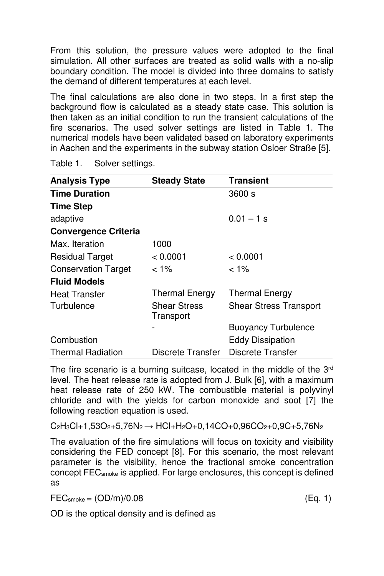From this solution, the pressure values were adopted to the final simulation. All other surfaces are treated as solid walls with a no-slip boundary condition. The model is divided into three domains to satisfy the demand of different temperatures at each level.

The final calculations are also done in two steps. In a first step the background flow is calculated as a steady state case. This solution is then taken as an initial condition to run the transient calculations of the fire scenarios. The used solver settings are listed in Table 1. The numerical models have been validated based on laboratory experiments in Aachen and the experiments in the subway station Osloer Straße [5].

| <b>Analysis Type</b>        | <b>Steady State</b>              | <b>Transient</b>              |  |  |
|-----------------------------|----------------------------------|-------------------------------|--|--|
| <b>Time Duration</b>        |                                  | 3600 s                        |  |  |
| <b>Time Step</b>            |                                  |                               |  |  |
| adaptive                    |                                  | $0.01 - 1$ s                  |  |  |
| <b>Convergence Criteria</b> |                                  |                               |  |  |
| Max. Iteration              | 1000                             |                               |  |  |
| <b>Residual Target</b>      | < 0.0001                         | < 0.0001                      |  |  |
| <b>Conservation Target</b>  | $< 1\%$                          | $< 1\%$                       |  |  |
| <b>Fluid Models</b>         |                                  |                               |  |  |
| <b>Heat Transfer</b>        | <b>Thermal Energy</b>            | <b>Thermal Energy</b>         |  |  |
| Turbulence                  | <b>Shear Stress</b><br>Transport | <b>Shear Stress Transport</b> |  |  |
|                             |                                  | <b>Buoyancy Turbulence</b>    |  |  |
| Combustion                  |                                  | <b>Eddy Dissipation</b>       |  |  |
| <b>Thermal Radiation</b>    | Discrete Transfer                | Discrete Transfer             |  |  |

Table 1. Solver settings.

The fire scenario is a burning suitcase, located in the middle of the 3rd level. The heat release rate is adopted from J. Bulk [6], with a maximum heat release rate of 250 kW. The combustible material is polyvinyl chloride and with the yields for carbon monoxide and soot [7] the following reaction equation is used.

 $C_2H_3Cl + 1,53O_2 + 5,76N_2 \rightarrow HCl + H_2O + 0,14CO + 0,96CO_2 + 0,9C + 5,76N_2$ 

The evaluation of the fire simulations will focus on toxicity and visibility considering the FED concept [8]. For this scenario, the most relevant parameter is the visibility, hence the fractional smoke concentration concept FECsmoke is applied. For large enclosures, this concept is defined as

 $\text{FEC}_{\text{smoke}} = (\text{OD/m})/0.08$  (Eq. 1)

OD is the optical density and is defined as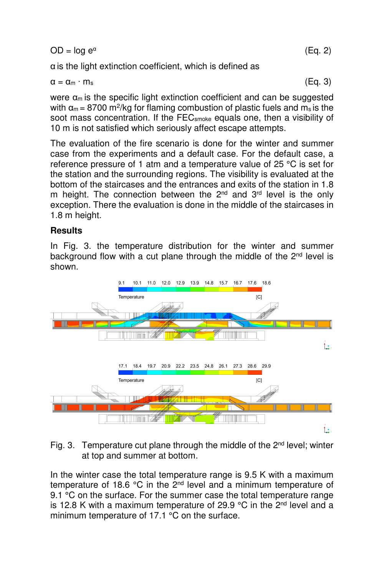$OD = \log e^{\alpha}$ (Eq. 2)

α is the light extinction coefficient, which is defined as

$$
\alpha = \alpha_m \cdot m_s \tag{Eq. 3}
$$

were  $\alpha_m$  is the specific light extinction coefficient and can be suggested with  $\alpha_m = 8700$  m<sup>2</sup>/kg for flaming combustion of plastic fuels and m<sub>s</sub> is the soot mass concentration. If the FEC<sub>smoke</sub> equals one, then a visibility of 10 m is not satisfied which seriously affect escape attempts.

The evaluation of the fire scenario is done for the winter and summer case from the experiments and a default case. For the default case, a reference pressure of 1 atm and a temperature value of 25 °C is set for the station and the surrounding regions. The visibility is evaluated at the bottom of the staircases and the entrances and exits of the station in 1.8 m height. The connection between the  $2^{nd}$  and  $3^{rd}$  level is the only exception. There the evaluation is done in the middle of the staircases in 1.8 m height.

#### **Results**

In Fig. 3. the temperature distribution for the winter and summer background flow with a cut plane through the middle of the 2<sup>nd</sup> level is shown.



Fig. 3. Temperature cut plane through the middle of the  $2^{nd}$  level; winter at top and summer at bottom.

In the winter case the total temperature range is 9.5 K with a maximum temperature of 18.6  $^{\circ}$ C in the 2<sup>nd</sup> level and a minimum temperature of 9.1 °C on the surface. For the summer case the total temperature range is 12.8 K with a maximum temperature of 29.9  $\degree$ C in the 2<sup>nd</sup> level and a minimum temperature of 17.1 °C on the surface.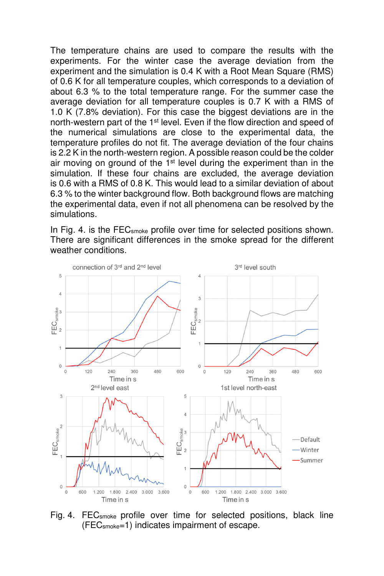The temperature chains are used to compare the results with the experiments. For the winter case the average deviation from the experiment and the simulation is 0.4 K with a Root Mean Square (RMS) of 0.6 K for all temperature couples, which corresponds to a deviation of about 6.3 % to the total temperature range. For the summer case the average deviation for all temperature couples is 0.7 K with a RMS of 1.0 K (7.8% deviation). For this case the biggest deviations are in the north-western part of the 1<sup>st</sup> level. Even if the flow direction and speed of the numerical simulations are close to the experimental data, the temperature profiles do not fit. The average deviation of the four chains is 2.2 K in the north-western region. A possible reason could be the colder air moving on ground of the  $1<sup>st</sup>$  level during the experiment than in the simulation. If these four chains are excluded, the average deviation is 0.6 with a RMS of 0.8 K. This would lead to a similar deviation of about 6.3 % to the winter background flow. Both background flows are matching the experimental data, even if not all phenomena can be resolved by the simulations.

In Fig. 4. is the FEC<sub>smoke</sub> profile over time for selected positions shown. There are significant differences in the smoke spread for the different weather conditions.



Fig. 4. FEC<sub>smoke</sub> profile over time for selected positions, black line (FECsmoke=1) indicates impairment of escape.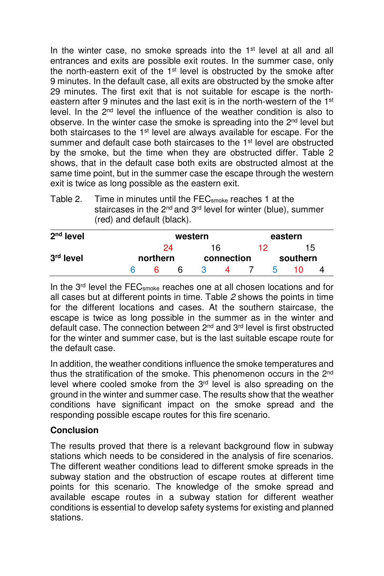In the winter case, no smoke spreads into the 1<sup>st</sup> level at all and all entrances and exits are possible exit routes. In the summer case, only the north-eastern exit of the 1<sup>st</sup> level is obstructed by the smoke after 9 minutes. In the default case, all exits are obstructed by the smoke after 29 minutes. The first exit that is not suitable for escape is the northeastern after 9 minutes and the last exit is in the north-western of the 1<sup>st</sup> level. In the 2nd level the influence of the weather condition is also to observe. In the winter case the smoke is spreading into the 2<sup>nd</sup> level but both staircases to the 1<sup>st</sup> level are always available for escape. For the summer and default case both staircases to the 1<sup>st</sup> level are obstructed by the smoke, but the time when they are obstructed differ. Table 2 shows, that in the default case both exits are obstructed almost at the same time point, but in the summer case the escape through the western exit is twice as long possible as the eastern exit.

Table 2. Time in minutes until the FECsmoke reaches 1 at the staircases in the 2<sup>nd</sup> and 3<sup>rd</sup> level for winter (blue), summer (red) and default (black).

| $2nd$ level |                | western |                  |  |    | eastern        |  |  |  |
|-------------|----------------|---------|------------------|--|----|----------------|--|--|--|
| $3rd$ level | 24<br>northern |         | 16<br>connection |  | 12 | 15<br>southern |  |  |  |
|             |                | 6       | ĥ                |  |    | h              |  |  |  |

In the 3<sup>rd</sup> level the FEC<sub>smoke</sub> reaches one at all chosen locations and for all cases but at different points in time. Table 2 shows the points in time for the different locations and cases. At the southern staircase, the escape is twice as long possible in the summer as in the winter and default case. The connection between  $2<sup>nd</sup>$  and  $3<sup>rd</sup>$  level is first obstructed for the winter and summer case, but is the last suitable escape route for the default case.

In addition, the weather conditions influence the smoke temperatures and thus the stratification of the smoke. This phenomenon occurs in the 2nd level where cooled smoke from the  $3<sup>rd</sup>$  level is also spreading on the ground in the winter and summer case. The results show that the weather conditions have significant impact on the smoke spread and the responding possible escape routes for this fire scenario.

## **Conclusion**

The results proved that there is a relevant background flow in subway stations which needs to be considered in the analysis of fire scenarios. The different weather conditions lead to different smoke spreads in the subway station and the obstruction of escape routes at different time points for this scenario. The knowledge of the smoke spread and available escape routes in a subway station for different weather conditions is essential to develop safety systems for existing and planned stations.